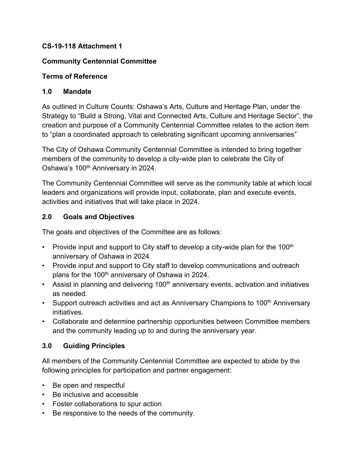### **CS-19-118 Attachment 1**

## **Community Centennial Committee**

## **Terms of Reference**

## **1.0 Mandate**

As outlined in Culture Counts: Oshawa's Arts, Culture and Heritage Plan, under the Strategy to "Build a Strong, Vital and Connected Arts, Culture and Heritage Sector", the creation and purpose of a Community Centennial Committee relates to the action item to "plan a coordinated approach to celebrating significant upcoming anniversaries"

The City of Oshawa Community Centennial Committee is intended to bring together members of the community to develop a city-wide plan to celebrate the City of Oshawa's 100<sup>th</sup> Anniversary in 2024.

The Community Centennial Committee will serve as the community table at which local leaders and organizations will provide input, collaborate, plan and execute events, activities and initiatives that will take place in 2024.

## **2.0 Goals and Objectives**

The goals and objectives of the Committee are as follows:

- Provide input and support to City staff to develop a city-wide plan for the 100<sup>th</sup> anniversary of Oshawa in 2024.
- Provide input and support to City staff to develop communications and outreach plans for the 100<sup>th</sup> anniversary of Oshawa in 2024.
- Assist in planning and delivering  $100<sup>th</sup>$  anniversary events, activation and initiatives as needed*.*
- Support outreach activities and act as Anniversary Champions to 100<sup>th</sup> Anniversary initiatives.
- Collaborate and determine partnership opportunities between Committee members and the community leading up to and during the anniversary year.

# **3.0 Guiding Principles**

All members of the Community Centennial Committee are expected to abide by the following principles for participation and partner engagement:

- Be open and respectful
- Be inclusive and accessible
- Foster collaborations to spur action
- Be responsive to the needs of the community.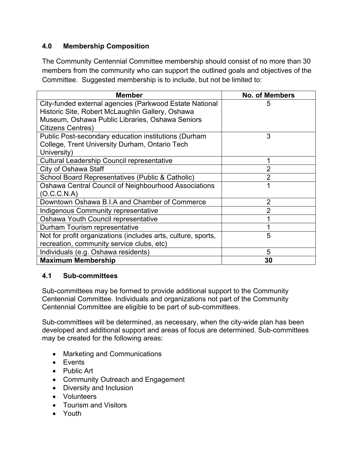## **4.0 Membership Composition**

The Community Centennial Committee membership should consist of no more than 30 members from the community who can support the outlined goals and objectives of the Committee. Suggested membership is to include, but not be limited to:

| <b>Member</b>                                                 | <b>No. of Members</b> |
|---------------------------------------------------------------|-----------------------|
| City-funded external agencies (Parkwood Estate National       | 5                     |
| Historic Site, Robert McLaughlin Gallery, Oshawa              |                       |
| Museum, Oshawa Public Libraries, Oshawa Seniors               |                       |
| <b>Citizens Centres)</b>                                      |                       |
| Public Post-secondary education institutions (Durham          | 3                     |
| College, Trent University Durham, Ontario Tech                |                       |
| University)                                                   |                       |
| <b>Cultural Leadership Council representative</b>             |                       |
| City of Oshawa Staff                                          |                       |
| School Board Representatives (Public & Catholic)              | 2                     |
| Oshawa Central Council of Neighbourhood Associations          |                       |
| (O.C.C.N.A)                                                   |                       |
| Downtown Oshawa B.I.A and Chamber of Commerce                 | 2                     |
| Indigenous Community representative                           |                       |
| Oshawa Youth Council representative                           |                       |
| Durham Tourism representative                                 |                       |
| Not for profit organizations (includes arts, culture, sports, | 5                     |
| recreation, community service clubs, etc)                     |                       |
| Individuals (e.g. Oshawa residents)                           | 5                     |
| <b>Maximum Membership</b>                                     | 30                    |

#### **4.1 Sub-committees**

Sub-committees may be formed to provide additional support to the Community Centennial Committee. Individuals and organizations not part of the Community Centennial Committee are eligible to be part of sub-committees.

Sub-committees will be determined, as necessary, when the city-wide plan has been developed and additional support and areas of focus are determined. Sub-committees may be created for the following areas:

- Marketing and Communications
- Events
- Public Art
- Community Outreach and Engagement
- Diversity and Inclusion
- Volunteers
- Tourism and Visitors
- Youth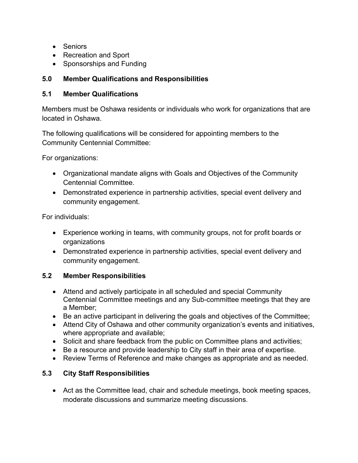- Seniors
- Recreation and Sport
- Sponsorships and Funding

## **5.0 Member Qualifications and Responsibilities**

#### **5.1 Member Qualifications**

Members must be Oshawa residents or individuals who work for organizations that are located in Oshawa.

The following qualifications will be considered for appointing members to the Community Centennial Committee:

For organizations:

- Organizational mandate aligns with Goals and Objectives of the Community Centennial Committee.
- Demonstrated experience in partnership activities, special event delivery and community engagement.

For individuals:

- Experience working in teams, with community groups, not for profit boards or organizations
- Demonstrated experience in partnership activities, special event delivery and community engagement.

# **5.2 Member Responsibilities**

- Attend and actively participate in all scheduled and special Community Centennial Committee meetings and any Sub-committee meetings that they are a Member;
- Be an active participant in delivering the goals and objectives of the Committee;
- Attend City of Oshawa and other community organization's events and initiatives, where appropriate and available;
- Solicit and share feedback from the public on Committee plans and activities;
- Be a resource and provide leadership to City staff in their area of expertise.
- Review Terms of Reference and make changes as appropriate and as needed.

# **5.3 City Staff Responsibilities**

• Act as the Committee lead, chair and schedule meetings, book meeting spaces, moderate discussions and summarize meeting discussions.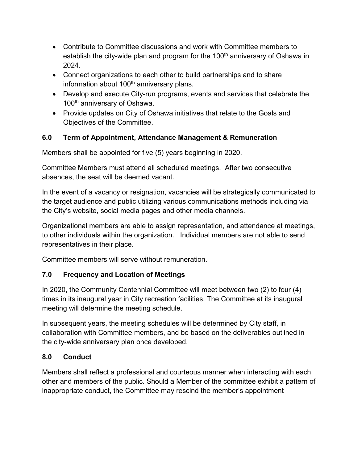- Contribute to Committee discussions and work with Committee members to establish the city-wide plan and program for the  $100<sup>th</sup>$  anniversary of Oshawa in 2024.
- Connect organizations to each other to build partnerships and to share information about 100<sup>th</sup> anniversary plans.
- Develop and execute City-run programs, events and services that celebrate the 100<sup>th</sup> anniversary of Oshawa.
- Provide updates on City of Oshawa initiatives that relate to the Goals and Objectives of the Committee.

# **6.0 Term of Appointment, Attendance Management & Remuneration**

Members shall be appointed for five (5) years beginning in 2020.

Committee Members must attend all scheduled meetings. After two consecutive absences, the seat will be deemed vacant.

In the event of a vacancy or resignation, vacancies will be strategically communicated to the target audience and public utilizing various communications methods including via the City's website, social media pages and other media channels.

Organizational members are able to assign representation, and attendance at meetings, to other individuals within the organization. Individual members are not able to send representatives in their place.

Committee members will serve without remuneration.

# **7.0 Frequency and Location of Meetings**

In 2020, the Community Centennial Committee will meet between two (2) to four (4) times in its inaugural year in City recreation facilities. The Committee at its inaugural meeting will determine the meeting schedule.

In subsequent years, the meeting schedules will be determined by City staff, in collaboration with Committee members, and be based on the deliverables outlined in the city-wide anniversary plan once developed.

# **8.0 Conduct**

Members shall reflect a professional and courteous manner when interacting with each other and members of the public. Should a Member of the committee exhibit a pattern of inappropriate conduct, the Committee may rescind the member's appointment